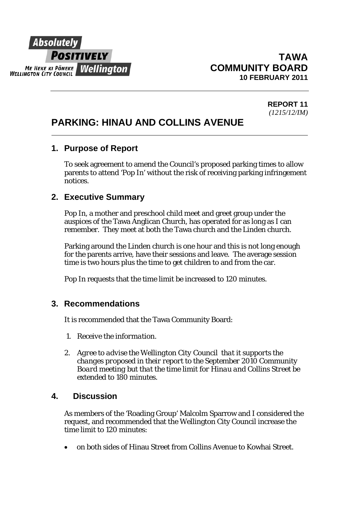

 $\overline{a}$ 

#### **REPORT 11**  *(1215/12/IM)*

# **PARKING: HINAU AND COLLINS AVENUE**

### **1. Purpose of Report**

To seek agreement to amend the Council's proposed parking times to allow parents to attend 'Pop In' without the risk of receiving parking infringement notices.

### **2. Executive Summary**

Pop In, a mother and preschool child meet and greet group under the auspices of the Tawa Anglican Church, has operated for as long as I can remember. They meet at both the Tawa church and the Linden church.

Parking around the Linden church is one hour and this is not long enough for the parents arrive, have their sessions and leave. The average session time is two hours plus the time to get children to and from the car.

Pop In requests that the time limit be increased to 120 minutes.

## **3. Recommendations**

It is recommended that the Tawa Community Board:

- *1. Receive the information.*
- *2. Agree to advise the Wellington City Council that it supports the changes proposed in their report to the September 2010 Community Board meeting but that the time limit for Hinau and Collins Street be extended to 180 minutes.*

#### **4. Discussion**

As members of the 'Roading Group' Malcolm Sparrow and I considered the request, and recommended that the Wellington City Council increase the time limit to 120 minutes:

• on both sides of Hinau Street from Collins Avenue to Kowhai Street.